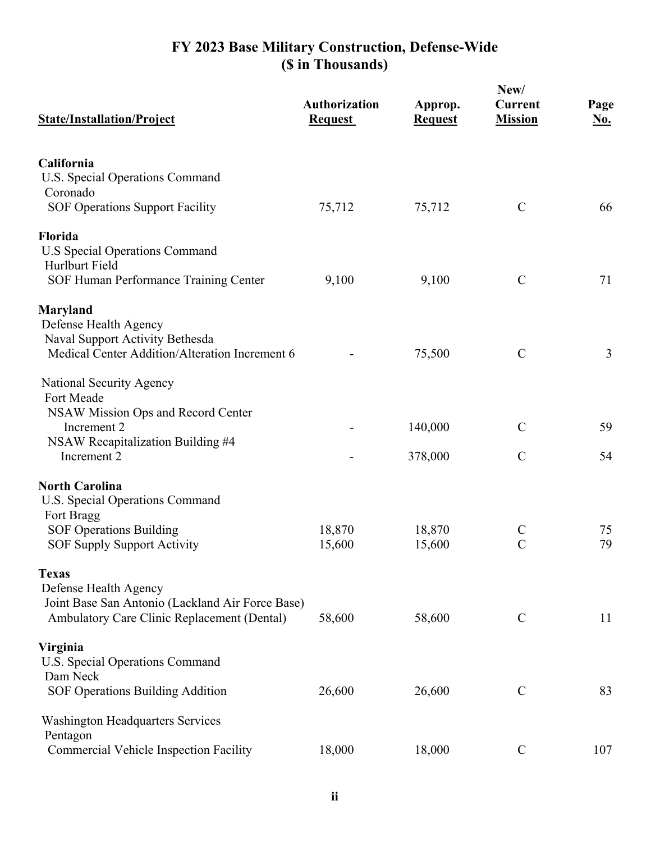## **FY 2023 Base Military Construction, Defense-Wide (\$ in Thousands)**

|                                                                           |                                        | New/                      |                                  |                    |
|---------------------------------------------------------------------------|----------------------------------------|---------------------------|----------------------------------|--------------------|
| <b>State/Installation/Project</b>                                         | <b>Authorization</b><br><b>Request</b> | Approp.<br><b>Request</b> | <b>Current</b><br><b>Mission</b> | Page<br><u>No.</u> |
| California<br>U.S. Special Operations Command                             |                                        |                           |                                  |                    |
| Coronado                                                                  |                                        |                           |                                  |                    |
| <b>SOF Operations Support Facility</b>                                    | 75,712                                 | 75,712                    | $\mathbf C$                      | 66                 |
| Florida                                                                   |                                        |                           |                                  |                    |
| <b>U.S Special Operations Command</b>                                     |                                        |                           |                                  |                    |
| Hurlburt Field                                                            |                                        |                           |                                  |                    |
| SOF Human Performance Training Center                                     | 9,100                                  | 9,100                     | $\mathcal{C}$                    | 71                 |
| Maryland                                                                  |                                        |                           |                                  |                    |
| Defense Health Agency<br>Naval Support Activity Bethesda                  |                                        |                           |                                  |                    |
| Medical Center Addition/Alteration Increment 6                            |                                        | 75,500                    | $\mathcal{C}$                    | 3                  |
| National Security Agency                                                  |                                        |                           |                                  |                    |
| Fort Meade                                                                |                                        |                           |                                  |                    |
| NSAW Mission Ops and Record Center                                        |                                        |                           |                                  |                    |
| Increment 2                                                               |                                        | 140,000                   | $\mathcal{C}$                    | 59                 |
| NSAW Recapitalization Building #4<br>Increment <sub>2</sub>               |                                        | 378,000                   | $\mathcal{C}$                    | 54                 |
|                                                                           |                                        |                           |                                  |                    |
| <b>North Carolina</b>                                                     |                                        |                           |                                  |                    |
| U.S. Special Operations Command                                           |                                        |                           |                                  |                    |
| Fort Bragg<br><b>SOF Operations Building</b>                              | 18,870                                 | 18,870                    | $\mathsf{C}$                     | 75                 |
| <b>SOF Supply Support Activity</b>                                        | 15,600                                 | 15,600                    | $\overline{C}$                   | 79                 |
|                                                                           |                                        |                           |                                  |                    |
| <b>Texas</b>                                                              |                                        |                           |                                  |                    |
| Defense Health Agency<br>Joint Base San Antonio (Lackland Air Force Base) |                                        |                           |                                  |                    |
| Ambulatory Care Clinic Replacement (Dental)                               | 58,600                                 | 58,600                    | $\mathsf{C}$                     | 11                 |
|                                                                           |                                        |                           |                                  |                    |
| Virginia                                                                  |                                        |                           |                                  |                    |
| U.S. Special Operations Command<br>Dam Neck                               |                                        |                           |                                  |                    |
| SOF Operations Building Addition                                          | 26,600                                 | 26,600                    | $\mathbf C$                      | 83                 |
| <b>Washington Headquarters Services</b>                                   |                                        |                           |                                  |                    |
| Pentagon                                                                  |                                        |                           |                                  |                    |
| Commercial Vehicle Inspection Facility                                    | 18,000                                 | 18,000                    | $\mathcal{C}$                    | 107                |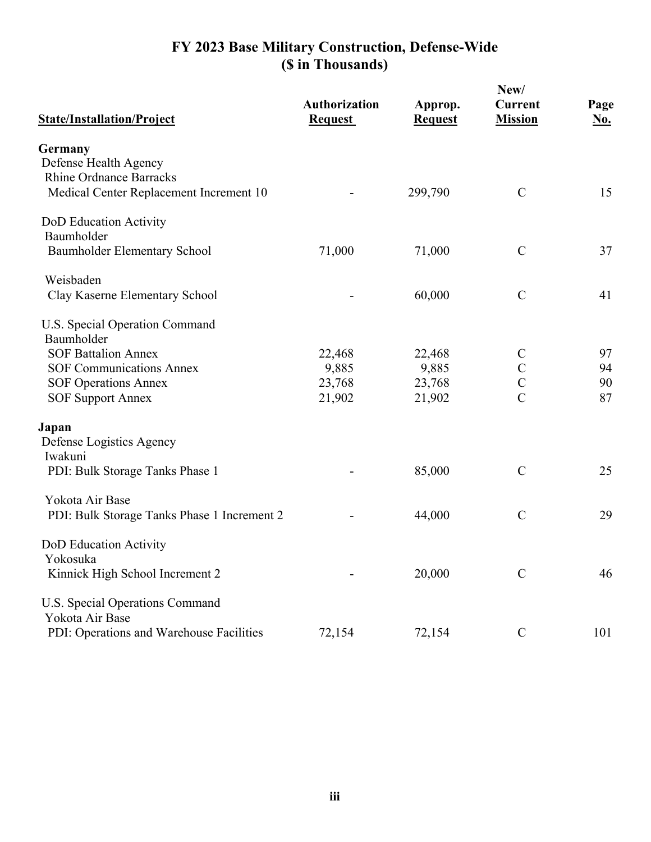## **FY 2023 Base Military Construction, Defense-Wide (\$ in Thousands)**

| <b>State/Installation/Project</b>           | <b>Authorization</b><br><b>Request</b> | Approp.<br><b>Request</b> | New/<br><b>Current</b><br><b>Mission</b> | Page<br><u>No.</u> |
|---------------------------------------------|----------------------------------------|---------------------------|------------------------------------------|--------------------|
| Germany                                     |                                        |                           |                                          |                    |
| Defense Health Agency                       |                                        |                           |                                          |                    |
| <b>Rhine Ordnance Barracks</b>              |                                        |                           |                                          |                    |
| Medical Center Replacement Increment 10     |                                        | 299,790                   | $\mathcal{C}$                            | 15                 |
| DoD Education Activity                      |                                        |                           |                                          |                    |
| Baumholder                                  |                                        |                           |                                          |                    |
| Baumholder Elementary School                | 71,000                                 | 71,000                    | $\mathcal{C}$                            | 37                 |
| Weisbaden                                   |                                        |                           |                                          |                    |
| Clay Kaserne Elementary School              |                                        | 60,000                    | $\mathcal{C}$                            | 41                 |
| U.S. Special Operation Command              |                                        |                           |                                          |                    |
| Baumholder                                  |                                        |                           |                                          |                    |
| <b>SOF Battalion Annex</b>                  | 22,468                                 | 22,468                    | $\mathbf C$                              | 97                 |
| <b>SOF Communications Annex</b>             | 9,885                                  | 9,885                     | $\mathcal{C}$                            | 94                 |
| <b>SOF Operations Annex</b>                 | 23,768                                 | 23,768                    | $\overline{C}$                           | 90                 |
| <b>SOF Support Annex</b>                    | 21,902                                 | 21,902                    | $\overline{C}$                           | 87                 |
| Japan                                       |                                        |                           |                                          |                    |
| Defense Logistics Agency                    |                                        |                           |                                          |                    |
| Iwakuni                                     |                                        |                           |                                          |                    |
| PDI: Bulk Storage Tanks Phase 1             |                                        | 85,000                    | $\mathcal{C}$                            | 25                 |
| Yokota Air Base                             |                                        |                           |                                          |                    |
| PDI: Bulk Storage Tanks Phase 1 Increment 2 |                                        | 44,000                    | $\mathcal{C}$                            | 29                 |
| DoD Education Activity                      |                                        |                           |                                          |                    |
| Yokosuka                                    |                                        |                           |                                          |                    |
| Kinnick High School Increment 2             |                                        | 20,000                    | $\mathcal{C}$                            | 46                 |
| U.S. Special Operations Command             |                                        |                           |                                          |                    |
| Yokota Air Base                             |                                        |                           |                                          |                    |
| PDI: Operations and Warehouse Facilities    | 72,154                                 | 72,154                    | $\mathbf C$                              | 101                |